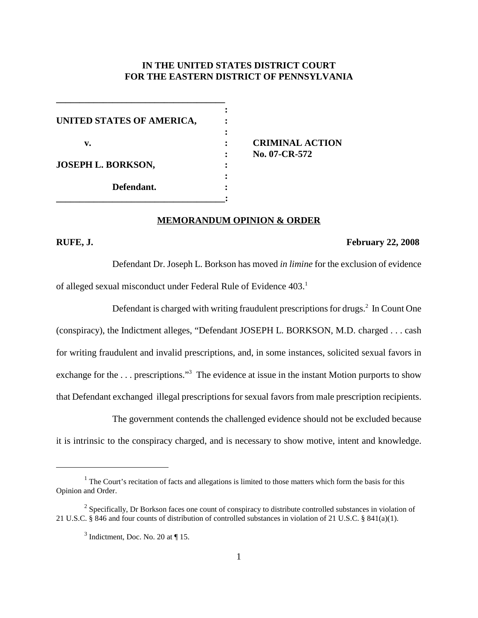# **IN THE UNITED STATES DISTRICT COURT FOR THE EASTERN DISTRICT OF PENNSYLVANIA**

**:**

**:**

**:**

**UNITED STATES OF AMERICA, : v. : CRIMINAL ACTION JOSEPH L. BORKSON, : Defendant. : \_\_\_\_\_\_\_\_\_\_\_\_\_\_\_\_\_\_\_\_\_\_\_\_\_\_\_\_\_\_\_\_\_\_\_\_:**

**\_\_\_\_\_\_\_\_\_\_\_\_\_\_\_\_\_\_\_\_\_\_\_\_\_\_\_\_\_\_\_\_\_\_\_\_**

**: No. 07-CR-572**

### **MEMORANDUM OPINION & ORDER**

### **RUFE, J. February 22, 2008**

Defendant Dr. Joseph L. Borkson has moved *in limine* for the exclusion of evidence of alleged sexual misconduct under Federal Rule of Evidence 403. 1

Defendant is charged with writing fraudulent prescriptions for drugs.<sup>2</sup> In Count One (conspiracy), the Indictment alleges, "Defendant JOSEPH L. BORKSON, M.D. charged . . . cash for writing fraudulent and invalid prescriptions, and, in some instances, solicited sexual favors in exchange for the ... prescriptions."<sup>3</sup> The evidence at issue in the instant Motion purports to show that Defendant exchanged illegal prescriptions for sexual favors from male prescription recipients.

The government contends the challenged evidence should not be excluded because it is intrinsic to the conspiracy charged, and is necessary to show motive, intent and knowledge.

 $1$  The Court's recitation of facts and allegations is limited to those matters which form the basis for this Opinion and Order.

<sup>&</sup>lt;sup>2</sup> Specifically, Dr Borkson faces one count of conspiracy to distribute controlled substances in violation of 21 U.S.C. § 846 and four counts of distribution of controlled substances in violation of 21 U.S.C. § 841(a)(1).

 $3$  Indictment, Doc. No. 20 at  $\P$  15.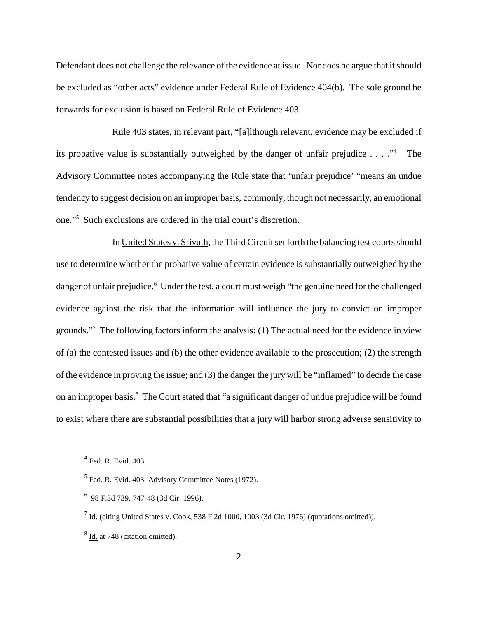Defendant does not challenge the relevance of the evidence at issue. Nor does he argue that it should be excluded as "other acts" evidence under Federal Rule of Evidence 404(b). The sole ground he forwards for exclusion is based on Federal Rule of Evidence 403.

Rule 403 states, in relevant part, "[a]lthough relevant, evidence may be excluded if its probative value is substantially outweighed by the danger of unfair prejudice  $\dots$   $\cdot$   $\cdot$  The Advisory Committee notes accompanying the Rule state that 'unfair prejudice' "means an undue tendency to suggest decision on an improper basis, commonly, though not necessarily, an emotional one."5 Such exclusions are ordered in the trial court's discretion.

In United States v. Sriyuth, the Third Circuit set forth the balancing test courts should use to determine whether the probative value of certain evidence is substantially outweighed by the danger of unfair prejudice.<sup>6</sup> Under the test, a court must weigh "the genuine need for the challenged evidence against the risk that the information will influence the jury to convict on improper grounds."7 The following factors inform the analysis: (1) The actual need for the evidence in view of (a) the contested issues and (b) the other evidence available to the prosecution; (2) the strength of the evidence in proving the issue; and (3) the danger the jury will be "inflamed" to decide the case on an improper basis. <sup>8</sup> The Court stated that "a significant danger of undue prejudice will be found to exist where there are substantial possibilities that a jury will harbor strong adverse sensitivity to

 $<sup>4</sup>$  Fed. R. Evid. 403.</sup>

 $<sup>5</sup>$  Fed. R. Evid. 403, Advisory Committee Notes (1972).</sup>

<sup>6</sup> 98 F.3d 739, 747-48 (3d Cir. 1996).

 $<sup>7</sup>$  Id. (citing United States v. Cook, 538 F.2d 1000, 1003 (3d Cir. 1976) (quotations omitted)).</sup>

<sup>8</sup> Id. at 748 (citation omitted).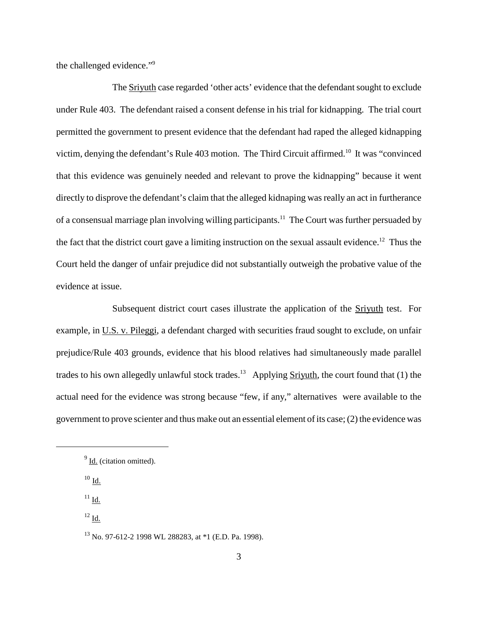the challenged evidence."9

The Sriyuth case regarded 'other acts' evidence that the defendant sought to exclude under Rule 403. The defendant raised a consent defense in his trial for kidnapping. The trial court permitted the government to present evidence that the defendant had raped the alleged kidnapping victim, denying the defendant's Rule 403 motion. The Third Circuit affirmed.<sup>10</sup> It was "convinced that this evidence was genuinely needed and relevant to prove the kidnapping" because it went directly to disprove the defendant's claim that the alleged kidnaping was really an act in furtherance of a consensual marriage plan involving willing participants.<sup>11</sup> The Court was further persuaded by the fact that the district court gave a limiting instruction on the sexual assault evidence.<sup>12</sup> Thus the Court held the danger of unfair prejudice did not substantially outweigh the probative value of the evidence at issue.

Subsequent district court cases illustrate the application of the Sriyuth test. For example, in U.S. v. Pileggi, a defendant charged with securities fraud sought to exclude, on unfair prejudice/Rule 403 grounds, evidence that his blood relatives had simultaneously made parallel trades to his own allegedly unlawful stock trades.<sup>13</sup> Applying Srivuth, the court found that (1) the actual need for the evidence was strong because "few, if any," alternatives were available to the government to prove scienter and thus make out an essential element of its case;  $(2)$  the evidence was

 $10$  Id.

 $^{11}$  Id.  $\,$ 

 $^{12}$  Id.

<sup>13</sup> No. 97-612-2 1998 WL 288283, at \*1 (E.D. Pa. 1998).

 $<sup>9</sup>$  Id. (citation omitted).</sup>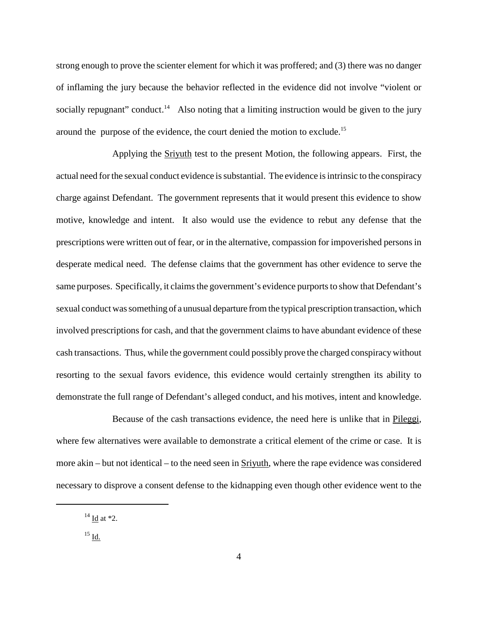strong enough to prove the scienter element for which it was proffered; and (3) there was no danger of inflaming the jury because the behavior reflected in the evidence did not involve "violent or socially repugnant" conduct.<sup>14</sup> Also noting that a limiting instruction would be given to the jury around the purpose of the evidence, the court denied the motion to exclude. 15

Applying the Sriyuth test to the present Motion, the following appears. First, the actual need for the sexual conduct evidence is substantial. The evidence is intrinsic to the conspiracy charge against Defendant. The government represents that it would present this evidence to show motive, knowledge and intent. It also would use the evidence to rebut any defense that the prescriptions were written out of fear, or in the alternative, compassion for impoverished persons in desperate medical need. The defense claims that the government has other evidence to serve the same purposes. Specifically, it claims the government's evidence purports to show that Defendant's sexual conduct was something of a unusual departure from the typical prescription transaction, which involved prescriptions for cash, and that the government claims to have abundant evidence of these cash transactions. Thus, while the government could possibly prove the charged conspiracywithout resorting to the sexual favors evidence, this evidence would certainly strengthen its ability to demonstrate the full range of Defendant's alleged conduct, and his motives, intent and knowledge.

Because of the cash transactions evidence, the need here is unlike that in Pileggi, where few alternatives were available to demonstrate a critical element of the crime or case. It is more akin – but not identical – to the need seen in Sriyuth, where the rape evidence was considered necessary to disprove a consent defense to the kidnapping even though other evidence went to the

 $14$  Id at \*2.

 $^{15}$  Id.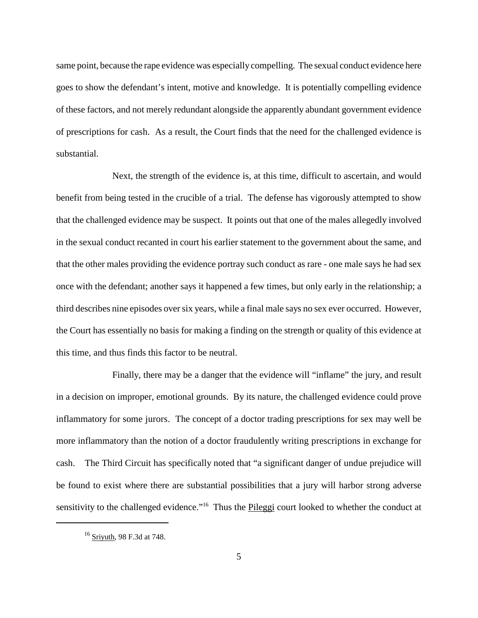same point, because the rape evidence was especially compelling. The sexual conduct evidence here goes to show the defendant's intent, motive and knowledge. It is potentially compelling evidence of these factors, and not merely redundant alongside the apparently abundant government evidence of prescriptions for cash. As a result, the Court finds that the need for the challenged evidence is substantial.

Next, the strength of the evidence is, at this time, difficult to ascertain, and would benefit from being tested in the crucible of a trial. The defense has vigorously attempted to show that the challenged evidence may be suspect. It points out that one of the males allegedly involved in the sexual conduct recanted in court his earlier statement to the government about the same, and that the other males providing the evidence portray such conduct as rare - one male says he had sex once with the defendant; another says it happened a few times, but only early in the relationship; a third describes nine episodes oversix years, while a final male says no sex ever occurred. However, the Court has essentially no basis for making a finding on the strength or quality of this evidence at this time, and thus finds this factor to be neutral.

Finally, there may be a danger that the evidence will "inflame" the jury, and result in a decision on improper, emotional grounds. By its nature, the challenged evidence could prove inflammatory for some jurors. The concept of a doctor trading prescriptions for sex may well be more inflammatory than the notion of a doctor fraudulently writing prescriptions in exchange for cash. The Third Circuit has specifically noted that "a significant danger of undue prejudice will be found to exist where there are substantial possibilities that a jury will harbor strong adverse sensitivity to the challenged evidence."<sup>16</sup> Thus the Pileggi court looked to whether the conduct at

 $16$  Sriyuth, 98 F.3d at 748.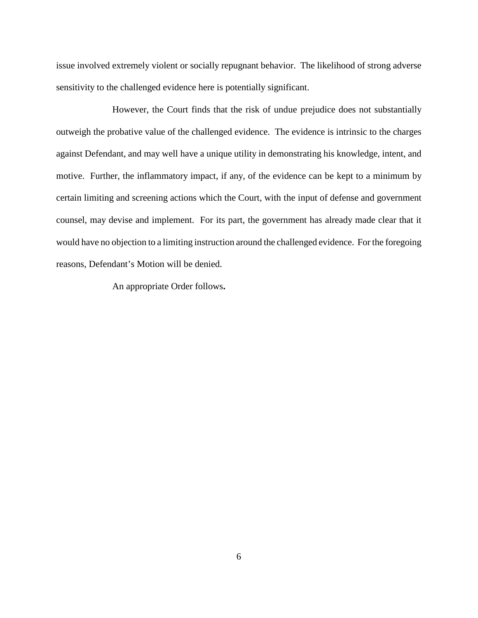issue involved extremely violent or socially repugnant behavior. The likelihood of strong adverse sensitivity to the challenged evidence here is potentially significant.

However, the Court finds that the risk of undue prejudice does not substantially outweigh the probative value of the challenged evidence. The evidence is intrinsic to the charges against Defendant, and may well have a unique utility in demonstrating his knowledge, intent, and motive. Further, the inflammatory impact, if any, of the evidence can be kept to a minimum by certain limiting and screening actions which the Court, with the input of defense and government counsel, may devise and implement. For its part, the government has already made clear that it would have no objection to a limiting instruction around the challenged evidence. For the foregoing reasons, Defendant's Motion will be denied.

An appropriate Order follows**.**